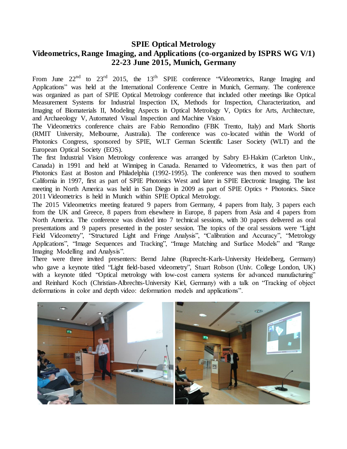## **SPIE Optical Metrology**

## **Videometrics, Range Imaging, and Applications (co-organized by ISPRS WG V/1) 22-23 June 2015, Munich, Germany**

From June  $22^{nd}$  to  $23^{rd}$  2015, the 13<sup>th</sup> SPIE conference "Videometrics, Range Imaging and Applications" was held at the International Conference Centre in Munich, Germany. The conference was organized as part of SPIE Optical Metrology conference that included other meetings like Optical Measurement Systems for Industrial Inspection IX, Methods for Inspection, Characterization, and Imaging of Biomaterials II, Modeling Aspects in Optical Metrology V, Optics for Arts, Architecture, and Archaeology V, Automated Visual Inspection and Machine Vision.

The Videometrics conference chairs are Fabio Remondino (FBK Trento, Italy) and Mark Shortis (RMIT University, Melbourne, Australia). The conference was co-located within the World of Photonics Congress, sponsored by SPIE, WLT German Scientific Laser Society (WLT) and the European Optical Society (EOS).

The first Industrial Vision Metrology conference was arranged by Sabry El-Hakim (Carleton Univ., Canada) in 1991 and held at Winnipeg in Canada. Renamed to Videometrics, it was then part of Photonics East at Boston and Philadelphia (1992-1995). The conference was then moved to southern California in 1997, first as part of SPIE Photonics West and later in SPIE Electronic Imaging. The last meeting in North America was held in San Diego in 2009 as part of SPIE Optics + Photonics. Since 2011 Videometrics is held in Munich within SPIE Optical Metrology.

The 2015 Videometrics meeting featured 9 papers from Germany, 4 papers from Italy, 3 papers each from the UK and Greece, 8 papers from elsewhere in Europe, 8 papers from Asia and 4 papers from North America. The conference was divided into 7 technical sessions, with 30 papers delivered as oral presentations and 9 papers presented in the poster session. The topics of the oral sessions were "Light Field Videometry", "Structured Light and Fringe Analysis", "Calibration and Accuracy", "Metrology Applications", "Image Sequences and Tracking", "Image Matching and Surface Models" and "Range Imaging Modelling and Analysis".

There were three invited presenters: Bernd Jahne (Ruprecht-Karls-University Heidelberg, Germany) who gave a keynote titled "Light field-based videometry", Stuart Robson (Univ. College London, UK) with a keynote titled "Optical metrology with low-cost camera systems for advanced manufacturing" and Reinhard Koch (Christian-Albrechts-University Kiel, Germany) with a talk on "Tracking of object deformations in color and depth video: deformation models and applications".